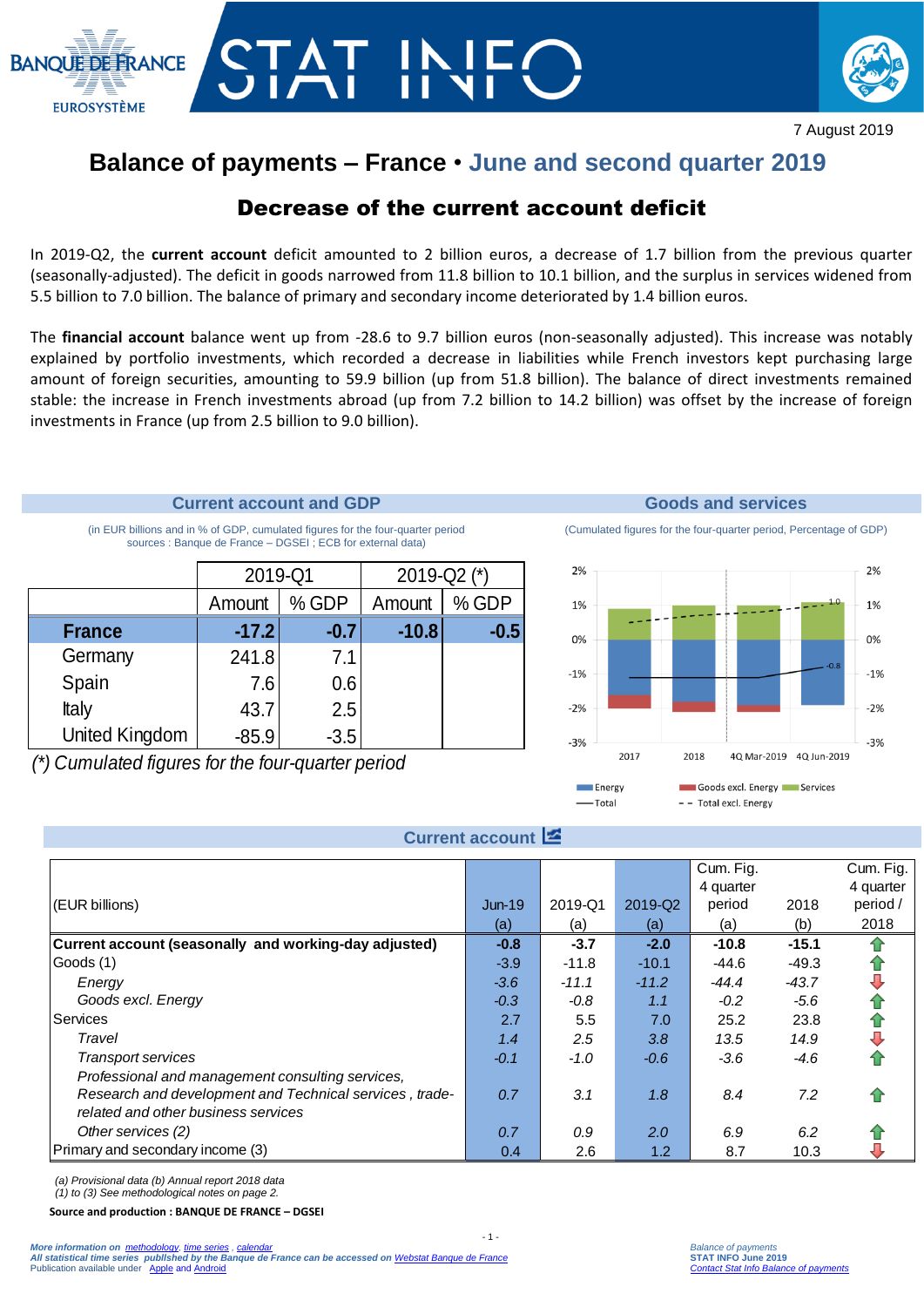



7 August 2019

# **Balance of payments – France** • **June and second quarter 2019**

# Decrease of the current account deficit

In 2019-Q2, the **current account** deficit amounted to 2 billion euros, a decrease of 1.7 billion from the previous quarter (seasonally-adjusted). The deficit in goods narrowed from 11.8 billion to 10.1 billion, and the surplus in services widened from 5.5 billion to 7.0 billion. The balance of primary and secondary income deteriorated by 1.4 billion euros.

The **financial account** balance went up from -28.6 to 9.7 billion euros (non-seasonally adjusted). This increase was notably explained by portfolio investments, which recorded a decrease in liabilities while French investors kept purchasing large amount of foreign securities, amounting to 59.9 billion (up from 51.8 billion). The balance of direct investments remained stable: the increase in French investments abroad (up from 7.2 billion to 14.2 billion) was offset by the increase of foreign investments in France (up from 2.5 billion to 9.0 billion).

## **Current account and GDP Goods and services**

(in EUR billions and in % of GDP, cumulated figures for the four-quarter period sources : Banque de France – DGSEI ; ECB for external data)

|                       | 2019-Q1 |         | 2019-Q2 (*) |        |  |
|-----------------------|---------|---------|-------------|--------|--|
|                       | Amount  | $%$ GDP | Amount      | % GDP  |  |
| <b>France</b>         | $-17.2$ | $-0.7$  | $-10.8$     | $-0.5$ |  |
| Germany               | 241.8   | 7.1     |             |        |  |
| Spain                 | 7.6     | 0.6     |             |        |  |
| Italy                 | 43.7    | 2.5     |             |        |  |
| <b>United Kingdom</b> | $-85.9$ | $-3.5$  |             |        |  |

(Cumulated figures for the four-quarter period, Percentage of GDP)



## **Current account**

|                                                                                                    | Amount  | % GDP  | Amount  | % GDP           | 1%                       |         |                                                       |                         | 1.0<br>1% |
|----------------------------------------------------------------------------------------------------|---------|--------|---------|-----------------|--------------------------|---------|-------------------------------------------------------|-------------------------|-----------|
| <b>France</b>                                                                                      | $-17.2$ | $-0.7$ | $-10.8$ | $-0.5$          | 0%                       |         |                                                       |                         | 0%        |
| Germany                                                                                            | 241.8   | 7.1    |         |                 |                          |         |                                                       | $-0.8$                  |           |
| Spain                                                                                              | 7.6     | 0.6    |         |                 | $-1%$                    |         |                                                       |                         | $-1%$     |
| <b>Italy</b>                                                                                       | 43.7    | 2.5    |         |                 | $-2%$                    |         |                                                       |                         | $-2%$     |
| United Kingdom                                                                                     | $-85.9$ | $-3.5$ |         |                 |                          |         |                                                       |                         |           |
|                                                                                                    |         |        |         |                 | $-3%$                    | 2017    | 2018                                                  | 4Q Mar-2019 4Q Jun-2019 | $-3%$     |
| ) Cumulated figures for the four-quarter period                                                    |         |        |         |                 |                          |         |                                                       |                         |           |
|                                                                                                    |         |        |         |                 | <b>E</b> nergy<br>-Total |         | Goods excl. Energy Services<br>- - Total excl. Energy |                         |           |
|                                                                                                    |         |        |         |                 |                          |         |                                                       |                         |           |
|                                                                                                    |         |        |         | Current account |                          |         |                                                       |                         |           |
|                                                                                                    |         |        |         |                 |                          |         | Cum. Fig.                                             |                         | Cum. Fig. |
|                                                                                                    |         |        |         |                 |                          |         | 4 quarter                                             |                         | 4 quarter |
| (EUR billions)                                                                                     |         |        |         | <b>Jun-19</b>   | 2019-Q1                  | 2019-Q2 | period                                                | 2018                    | period /  |
|                                                                                                    |         |        |         | (a)             | (a)                      | (a)     | (a)                                                   | (b)                     | 2018      |
| Current account (seasonally and working-day adjusted)                                              |         |        |         | $-0.8$          | $-3.7$                   | $-2.0$  | $-10.8$                                               | $-15.1$                 |           |
| Goods (1)                                                                                          |         |        |         | $-3.9$          | $-11.8$                  | $-10.1$ | $-44.6$                                               | $-49.3$                 |           |
| Energy                                                                                             |         |        |         | $-3.6$          | $-11.1$                  | $-11.2$ | $-44.4$                                               | $-43.7$                 |           |
| Goods excl. Energy                                                                                 |         |        |         | $-0.3$          | $-0.8$                   | 1.1     | $-0.2$                                                | $-5.6$                  |           |
| Services                                                                                           |         |        |         | 2.7             | 5.5                      | 7.0     | 25.2                                                  | 23.8                    | 全县        |
| Travel                                                                                             |         |        |         | 1.4             | 2.5                      | 3.8     | 13.5                                                  | 14.9                    |           |
| <b>Transport services</b>                                                                          |         |        | $-0.1$  | $-1.0$          | $-0.6$                   | $-3.6$  | $-4.6$                                                |                         |           |
| Professional and management consulting services,                                                   |         |        |         |                 |                          |         |                                                       |                         |           |
| Research and development and Technical services, trade-<br>related and other business services     |         |        | 0.7     | 3.1             | 1.8                      | 8.4     | 7.2                                                   |                         |           |
|                                                                                                    |         |        |         |                 |                          |         |                                                       |                         |           |
| Other services (2)<br>Primary and secondary income (3)                                             |         |        | 0.7     | 0.9             | 2.0                      | 6.9     | 6.2                                                   |                         |           |
|                                                                                                    |         |        |         | 0.4             | 2.6                      | 1.2     | 8.7                                                   | 10.3                    |           |
| (a) Provisional data (b) Annual report 2018 data                                                   |         |        |         |                 |                          |         |                                                       |                         |           |
| (1) to (3) See methodological notes on page 2.<br>Source and production : BANQUE DE FRANCE - DGSEI |         |        |         |                 |                          |         |                                                       |                         |           |
|                                                                                                    |         |        |         |                 |                          |         |                                                       |                         |           |

 $-1 -$